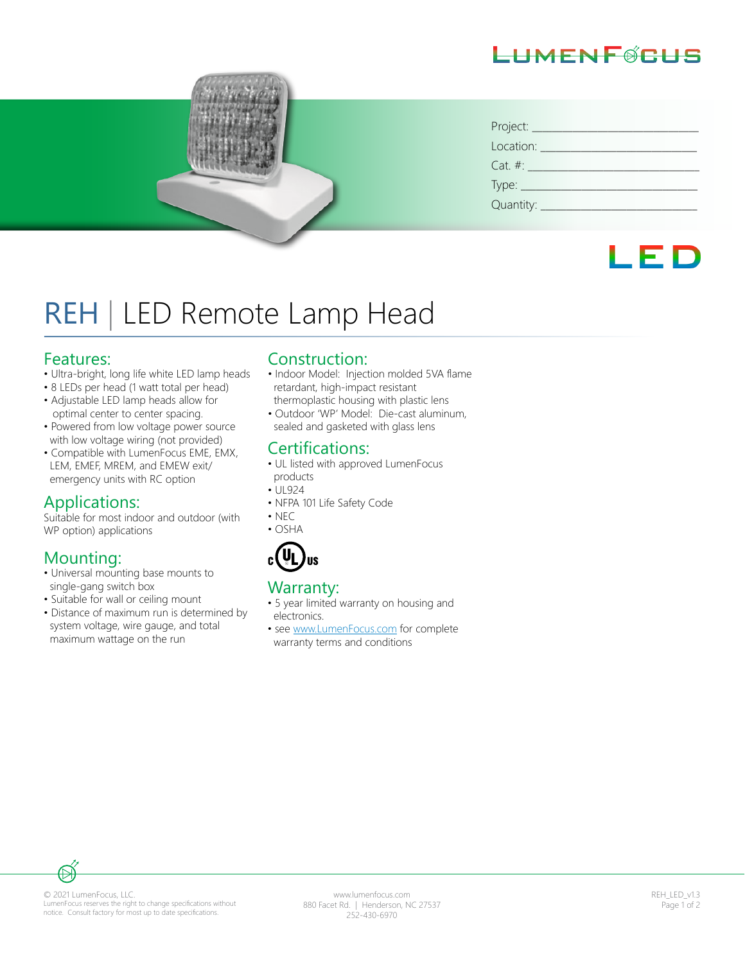# HMFNF@CHS

| Location: Location:  |
|----------------------|
| $Cat. #: __________$ |
|                      |
|                      |



# REH | LED Remote Lamp Head

#### Features:

- Ultra-bright, long life white LED lamp heads
- 8 LEDs per head (1 watt total per head)
- Adjustable LED lamp heads allow for optimal center to center spacing.
- Powered from low voltage power source with low voltage wiring (not provided)
- Compatible with LumenFocus EME, EMX, LEM, EMEF, MREM, and EMEW exit/ emergency units with RC option

### Applications:

Suitable for most indoor and outdoor (with WP option) applications

# Mounting:

- Universal mounting base mounts to single-gang switch box
- Suitable for wall or ceiling mount
- Distance of maximum run is determined by system voltage, wire gauge, and total maximum wattage on the run

#### Construction:

- Indoor Model: Injection molded 5VA flame retardant, high-impact resistant thermoplastic housing with plastic lens
- Outdoor 'WP' Model: Die-cast aluminum, sealed and gasketed with glass lens

## Certifications:

- UL listed with approved LumenFocus products
- $\cdot$  UL924
- NFPA 101 Life Safety Code
- NEC
- OSHA



#### Warranty:

- 5 year limited warranty on housing and electronics.
- see www.LumenFocus.com for complete warranty terms and conditions